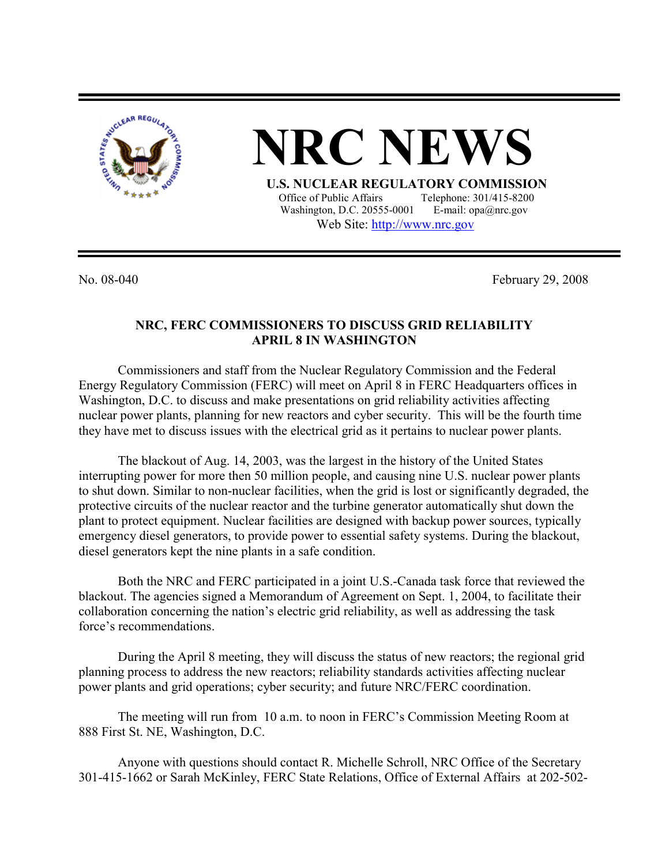

**NRC NEW** 

**U.S. NUCLEAR REGULATORY COMMISSION**<br>Office of Public Affairs Telephone: 301/415-8200 Telephone: 301/415-8200 Washington, D.C. 20555-0001 E-mail: opa@nrc.gov Web Site: http://www.nrc.gov

No. 08-040 February 29, 2008

## **NRC, FERC COMMISSIONERS TO DISCUSS GRID RELIABILITY APRIL 8 IN WASHINGTON**

Commissioners and staff from the Nuclear Regulatory Commission and the Federal Energy Regulatory Commission (FERC) will meet on April 8 in FERC Headquarters offices in Washington, D.C. to discuss and make presentations on grid reliability activities affecting nuclear power plants, planning for new reactors and cyber security. This will be the fourth time they have met to discuss issues with the electrical grid as it pertains to nuclear power plants.

The blackout of Aug. 14, 2003, was the largest in the history of the United States interrupting power for more then 50 million people, and causing nine U.S. nuclear power plants to shut down. Similar to non-nuclear facilities, when the grid is lost or significantly degraded, the protective circuits of the nuclear reactor and the turbine generator automatically shut down the plant to protect equipment. Nuclear facilities are designed with backup power sources, typically emergency diesel generators, to provide power to essential safety systems. During the blackout, diesel generators kept the nine plants in a safe condition.

Both the NRC and FERC participated in a joint U.S.-Canada task force that reviewed the blackout. The agencies signed a Memorandum of Agreement on Sept. 1, 2004, to facilitate their collaboration concerning the nation's electric grid reliability, as well as addressing the task force's recommendations.

During the April 8 meeting, they will discuss the status of new reactors; the regional grid planning process to address the new reactors; reliability standards activities affecting nuclear power plants and grid operations; cyber security; and future NRC/FERC coordination.

The meeting will run from 10 a.m. to noon in FERC's Commission Meeting Room at 888 First St. NE, Washington, D.C.

Anyone with questions should contact R. Michelle Schroll, NRC Office of the Secretary 301-415-1662 or Sarah McKinley, FERC State Relations, Office of External Affairs at 202-502